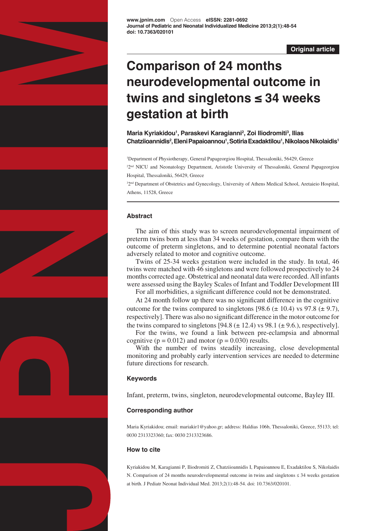

**[www.jpnim.com](http://www.jpnim.com)** Open Access **eISSN: 2281-0692 Journal of Pediatric and Neonatal Individualized Medicine 2013;2(1):48-54 doi: 10.7363/020101**

## **Original article**

# **Comparison of 24 months neurodevelopmental outcome in twins and singletons ≤ 34 weeks gestation at birth**

**Maria Kyriakidou<sup>1</sup> , Paraskevi Karagianni<sup>2</sup> , Zoi Iliodromiti3 , Ilias Chatziioannidis2 , Eleni Papaioannou1 , Sotiria Exadaktilou<sup>1</sup> , Nikolaos Nikolaidis<sup>1</sup>**

<sup>1</sup>Department of Physiotherapy, General Papageorgiou Hospital, Thessaloniki, 56429, Greece <sup>22nd</sup> NICU and Neonatology Department, Aristotle University of Thessaloniki, General Papageorgiou Hospital, Thessaloniki, 56429, Greece

<sup>32nd</sup> Department of Obstetrics and Gynecology, University of Athens Medical School, Aretaieio Hospital, Athens, 11528, Greece

# **Abstract**

The aim of this study was to screen neurodevelopmental impairment of preterm twins born at less than 34 weeks of gestation, compare them with the outcome of preterm singletons, and to determine potential neonatal factors adversely related to motor and cognitive outcome.

Twins of 25-34 weeks gestation were included in the study. In total, 46 twins were matched with 46 singletons and were followed prospectively to 24 months corrected age. Obstetrical and neonatal data were recorded. All infants were assessed using the Bayley Scales of Infant and Toddler Development III

For all morbidities, a significant difference could not be demonstrated.

At 24 month follow up there was no significant difference in the cognitive outcome for the twins compared to singletons [98.6  $(\pm 10.4)$  vs 97.8  $(\pm 9.7)$ , respectively]. There was also no significant difference in the motor outcome for the twins compared to singletons [94.8  $(\pm 12.4)$  vs 98.1  $(\pm 9.6)$ , respectively].

For the twins, we found a link between pre-eclampsia and abnormal cognitive ( $p = 0.012$ ) and motor ( $p = 0.030$ ) results.

With the number of twins steadily increasing, close developmental monitoring and probably early intervention services are needed to determine future directions for research.

# **Keywords**

Infant, preterm, twins, singleton, neurodevelopmental outcome, Bayley III.

# **Corresponding author**

Maria Kyriakidou; email: [mariakir1@yahoo.gr](mailto:mariakir1@yahoo.gr); address: Haldias 106b, Thessaloniki, Greece, 55133; tel: 0030 2313323360; fax: 0030 2313323686.

# **How to cite**

Kyriakidou M, Karagianni P, Iliodromiti Z, Chatziioannidis I, Papaioannou E, Exadaktilou S, Nikolaidis N. Comparison of 24 months neurodevelopmental outcome in twins and singletons ≤ 34 weeks gestation at birth. J Pediatr Neonat Individual Med. 2013;2(1):48-54. doi: 10.7363/020101.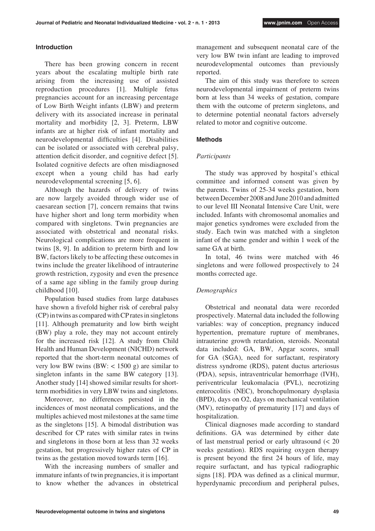## **Introduction**

There has been growing concern in recent years about the escalating multiple birth rate arising from the increasing use of assisted reproduction procedures [1]. Multiple fetus pregnancies account for an increasing percentage of Low Birth Weight infants (LBW) and preterm delivery with its associated increase in perinatal mortality and morbidity [2, 3]. Preterm, LBW infants are at higher risk of infant mortality and neurodevelopmental difficulties [4]. Disabilities can be isolated or associated with cerebral palsy, attention deficit disorder, and cognitive defect [5]. Isolated cognitive defects are often misdiagnosed except when a young child has had early neurodevelopmental screening [5, 6].

Although the hazards of delivery of twins are now largely avoided through wider use of caesarean section [7], concern remains that twins have higher short and long term morbidity when compared with singletons. Twin pregnancies are associated with obstetrical and neonatal risks. Neurological complications are more frequent in twins [8, 9]. In addition to preterm birth and low BW, factors likely to be affecting these outcomes in twins include the greater likelihood of intrauterine growth restriction, zygosity and even the presence of a same age sibling in the family group during childhood [10].

Population based studies from large databases have shown a fivefold higher risk of cerebral palsy (CP) in twins as compared with CP rates in singletons [11]. Although prematurity and low birth weight (BW) play a role, they may not account entirely for the increased risk [12]. A study from Child Health and Human Development (NICHD) network reported that the short-term neonatal outcomes of very low BW twins  $(BW: < 1500 \text{ g})$  are similar to singleton infants in the same BW category [13]. Another study [14] showed similar results for shortterm morbidities in very LBW twins and singletons.

Moreover, no differences persisted in the incidences of most neonatal complications, and the multiples achieved most milestones at the same time as the singletons [15]. A bimodal distribution was described for CP rates with similar rates in twins and singletons in those born at less than 32 weeks gestation, but progressively higher rates of CP in twins as the gestation moved towards term [16].

With the increasing numbers of smaller and immature infants of twin pregnancies, it is important to know whether the advances in obstetrical

management and subsequent neonatal care of the very low BW twin infant are leading to improved neurodevelopmental outcomes than previously reported.

The aim of this study was therefore to screen neurodevelopmental impairment of preterm twins born at less than 34 weeks of gestation, compare them with the outcome of preterm singletons, and to determine potential neonatal factors adversely related to motor and cognitive outcome.

# **Methods**

## *Participants*

The study was approved by hospital's ethical committee and informed consent was given by the parents. Twins of 25-34 weeks gestation, born between December 2008 and June 2010 and admitted to our level III Neonatal Intensive Care Unit, were included. Infants with chromosomal anomalies and major genetics syndromes were excluded from the study. Each twin was matched with a singleton infant of the same gender and within 1 week of the same GA at birth.

In total, 46 twins were matched with 46 singletons and were followed prospectively to 24 months corrected age.

# *Demographics*

Obstetrical and neonatal data were recorded prospectively. Maternal data included the following variables: way of conception, pregnancy induced hypertention, premature rupture of membranes, intrauterine growth retardation, steroids. Neonatal data included: GA, BW, Apgar scores, small for GA (SGA), need for surfactant, respiratory distress syndrome (RDS), patent ductus arteriosus (PDA), sepsis, intraventricular hemorrhage (IVH), periventricular leukomalacia (PVL), necrotizing enterocolitis (NEC), bronchopulmonary dysplasia (BPD), days on O2, days on mechanical ventilation (MV), retinopathy of prematurity [17] and days of hospitalization.

Clinical diagnoses made according to standard definitions. GA was determined by either date of last menstrual period or early ultrasound (< 20 weeks gestation). RDS requiring oxygen therapy is present beyond the first 24 hours of life, may require surfactant, and has typical radiographic signs [18]. PDA was defined as a clinical murmur, hyperdynamic precordium and peripheral pulses,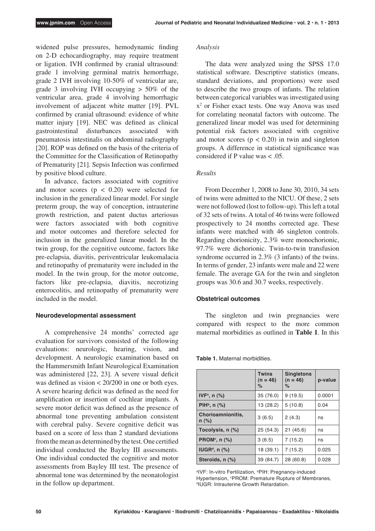widened pulse pressures, hemodynamic finding on 2-D echocardiography, may require treatment or ligation. IVH confirmed by cranial ultrasound: grade 1 involving germinal matrix hemorrhage, grade 2 IVH involving 10-50% of ventricular are, grade 3 involving IVH occupying > 50% of the ventricular area, grade 4 involving hemorrhagic involvement of adjacent white matter [19]. PVL confirmed by cranial ultrasound: evidence of white matter injury [19]. NEC was defined as clinical gastrointestinal disturbances associated with pneumatosis intestinalis on abdominal radiography [20]. ROP was defined on the basis of the criteria of the Committee for the Classification of Retinopathy of Prematurity [21]. Sepsis Infection was confirmed by positive blood culture.

In advance, factors associated with cognitive and motor scores  $(p < 0.20)$  were selected for inclusion in the generalized linear model. For single preterm group, the way of conception, intrauterine growth restriction, and patent ductus arteriosus were factors associated with both cognitive and motor outcomes and therefore selected for inclusion in the generalized linear model. In the twin group, for the cognitive outcome, factors like pre-eclapsia, diavitis, periventricular leukomalacia and retinopathy of prematurity were included in the model. In the twin group, for the motor outcome, factors like pre-eclapsia, diavitis, necrotizing enterocolitis, and retinopathy of prematurity were included in the model.

## **Neurodevelopmental assessment**

A comprehensive 24 months' corrected age evaluation for survivors consisted of the following evaluations: neurologic, hearing, vision, and development. A neurologic examination based on the Hammersmith Infant Neurological Examination was administered [22, 23]. A severe visual deficit was defined as vision < 20/200 in one or both eyes. A severe hearing deficit was defined as the need for amplification or insertion of cochlear implants. A severe motor deficit was defined as the presence of abnormal tone preventing ambulation consistent with cerebral palsy. Severe cognitive deficit was based on a score of less than 2 standard deviations from the mean as determined by the test. One certified individual conducted the Bayley III assessments. One individual conducted the cognitive and motor assessments from Bayley III test. The presence of abnormal tone was determined by the neonatologist in the follow up department.

#### *Analysis*

The data were analyzed using the SPSS 17.0 statistical software. Descriptive statistics (means, standard deviations, and proportions) were used to describe the two groups of infants. The relation between categorical variables was investigated using x2 or Fisher exact tests. One way Anova was used for correlating neonatal factors with outcome. The generalized linear model was used for determining potential risk factors associated with cognitive and motor scores ( $p < 0.20$ ) in twin and singleton groups. A difference in statistical significance was considered if P value was < .05.

### *Results*

From December 1, 2008 to June 30, 2010, 34 sets of twins were admitted to the NICU. Of these, 2 sets were not followed (lost to follow-up). This left a total of 32 sets of twins. A total of 46 twins were followed prospectively to 24 months corrected age. These infants were matched with 46 singleton controls. Regarding chorionicity, 2.3% were monochorionic, 97.7% were dichorionic. Twin-to-twin transfusion syndrome occurred in 2.3% (3 infants) of the twins. In terms of gender, 23 infants were male and 22 were female. The average GA for the twin and singleton groups was 30.6 and 30.7 weeks, respectively.

#### **Obstetrical outcomes**

The singleton and twin pregnancies were compared with respect to the more common maternal morbidities as outlined in **Table 1**. In this

**Twins (n = 46) % Singletons (n = 46) % p-value IVF<sup>a</sup>, n (%)**  $35 (76.0)$  9 (19.5) 0.0001 **PIH<sup>b</sup>, n (%)** 13 (28.2) 5 (10.8) 0.04 **Chorioamnionitis, n (%)** 3 (6.5) 2 (4.3) ns **Tocolysis, n (%)** 25 (54.3) 21 (45.6) ns **PROM<sup>c</sup>, n (%)** 3 (6.5) 7 (15.2) ns **IUGR<sup>d</sup>, n (%)**  $\begin{array}{|c|c|c|c|c|c|} \hline \end{array}$  18 (39.1) 7 (15.2)  $\begin{array}{|c|c|c|c|c|c|} \hline \end{array}$  0.025 **Steroids, n (%)** 39 (84.7) 28 (60.8) 0.028

**Table 1.** Maternal morbidities.

aIVF: In-vitro Fertilization, **PIH: Pregnancy-induced** Hypertension, °PROM: Premature Rupture of Membranes,<br>ªIUGR: Intrauterine Growth Retardation.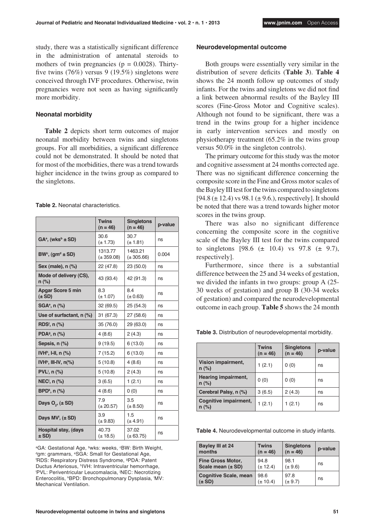study, there was a statistically significant difference in the administration of antenatal steroids to mothers of twin pregnancies ( $p = 0.0028$ ). Thirtyfive twins (76%) versus 9 (19.5%) singletons were conceived through IVF procedures. Otherwise, twin pregnancies were not seen as having significantly more morbidity.

#### **Neonatal morbidity**

**Table 2** depicts short term outcomes of major neonatal morbidity between twins and singletons groups. For all morbidities, a significant difference could not be demonstrated. It should be noted that for most of the morbidities, there was a trend towards higher incidence in the twins group as compared to the singletons.

| <b>Table 2.</b> Neonatal characteristics. |
|-------------------------------------------|
|-------------------------------------------|

|                                        | <b>Twins</b><br>$(n = 46)$ | <b>Singletons</b><br>$(n = 46)$ | p-value |  |
|----------------------------------------|----------------------------|---------------------------------|---------|--|
| $GAa$ , (wks <sup>b</sup> ± SD)        | 30.6<br>$(\pm 1.73)$       | 30.7<br>$(\pm 1.81)$            | ns      |  |
| $BW^c$ , (gm <sup>d</sup> $\pm$ SD)    | 1313.77<br>$(\pm 359.08)$  | 1463.21<br>$(\pm 305.66)$       | 0.004   |  |
| Sex (male), n (%)                      | 22 (47.8)                  | 23 (50.0)                       | ns      |  |
| Mode of delivery (CS),<br>n (%)        | 43 (93.4)                  | 42 (91.3)                       | ns      |  |
| <b>Apgar Score 5 min</b><br>$(\pm SD)$ | 8.3<br>$(\pm 1.07)$        | 84<br>$(\pm 0.63)$              | ns      |  |
| $SGAe$ , n $(\%)$                      | 32(69.5)                   | 25 (54.3)                       | ns      |  |
| Use of surfactant, n (%)               | 31(67.3)                   | 27(58.6)                        | ns      |  |
| RDS <sup>t</sup> , $n$ (%)             | 35 (76.0)                  | 29 (63.0)                       | ns      |  |
| PDA <sup>9</sup> , n (%)               | 4(8.6)                     | 2(4.3)                          | ns      |  |
| Sepsis, n (%)                          | 9(19.5)                    | 6(13.0)                         | ns      |  |
| IVH <sup>h</sup> , I-II, n $(\%)$      | 7(15.2)                    | 6(13.0)                         | ns      |  |
| IVH <sup>h</sup> , III-IV, $n\llap/$   | 5(10.8)                    | 4(8.6)                          | ns      |  |
| PVL <sup>i</sup> , n (%)               | 5(10.8)                    | 2(4.3)                          | ns      |  |
| NEC <sup>j</sup> , n (%)               | 3(6.5)                     | 1(2.1)                          | ns      |  |
| $BPDk$ , n $(\%)$                      | 4(8.6)                     | 0(0)                            | ns      |  |
| Days $O_{\gamma}$ , $(\pm SD)$         | 79<br>$(\pm 20.57)$        | 3.5<br>$(\pm 8.50)$             | ns      |  |
| Days MV <sup>I</sup> , $(\pm SD)$      | 3.9<br>$(\pm 9.83)$        | 1.5<br>$(\pm 4.91)$             | ns      |  |
| Hospital stay, (days<br>± SD)          | 40.73<br>$(\pm 18.5)$      | 37.02<br>$(\pm 63.75)$          | ns      |  |

aGA: Gestational Age, bwks: weeks, **BW: Birth Weight**, <sup>d</sup>gm: grammars, <sup>e</sup>SGA: Small for Gestational Age, RDS: Respiratory Distress Syndrome, gPDA: Patent Ductus Arteriosus, <sup>h</sup>IVH: Intraventricular hemorrhage, PVL: Periventricular Leucomalacia, j NEC: Necrotizing Enterocolitis, <sup>k</sup>BPD: Bronchopulmonary Dysplasia, <sup>I</sup>MV: Mechanical Ventilation.

#### **Neurodevelopmental outcome**

Both groups were essentially very similar in the distribution of severe deficits (**Table 3**). **Table 4**  shows the 24 month follow up outcomes of study infants. For the twins and singletons we did not find a link between abnormal results of the Bayley III scores (Fine-Gross Motor and Cognitive scales). Although not found to be significant, there was a trend in the twins group for a higher incidence in early intervention services and mostly on physiotherapy treatment (65.2% in the twins group versus 50.0% in the singleton controls).

The primary outcome for this study was the motor and cognitive assessment at 24 months corrected age. There was no significant difference concerning the composite score in the Fine and Gross motor scales of the Bayley III test for the twins compared to singletons [94.8 ( $\pm$  12.4) vs 98.1 ( $\pm$  9.6.), respectively]. It should be noted that there was a trend towards higher motor scores in the twins group.

There was also no significant difference concerning the composite score in the cognitive scale of the Bayley III test for the twins compared to singletons  $[98.6 \ (\pm \ 10.4) \ \text{vs} \ 97.8 \ (\pm \ 9.7)$ , respectively].

Furthermore, since there is a substantial difference between the 25 and 34 weeks of gestation, we divided the infants in two groups: group A (25- 30 weeks of gestation) and group B (30-34 weeks of gestation) and compared the neurodevelopmental outcome in each group. **Table 5** shows the 24 month

**Table 3.** Distribution of neurodevelopmental morbidity.

|                                  | <b>Twins</b><br>$(n = 46)$ | <b>Singletons</b><br>$(n = 46)$ | p-value |  |
|----------------------------------|----------------------------|---------------------------------|---------|--|
| Vision impairment,<br>$n (\%)$   | 1(2.1)                     | 0(0)                            | ns      |  |
| Hearing impairment,<br>$n$ (%)   | 0(0)                       | 0(0)                            | ns      |  |
| Cerebral Palsy, n (%)            | 3(6.5)                     | 2(4.3)                          | ns      |  |
| Cognitive impairment,<br>$n$ (%) | 1(2.1)                     | 1(2.1)                          | ns      |  |

**Table 4.** Neurodevelopmental outcome in study infants.

| Bayley III at 24             | <b>Twins</b> | <b>Singletons</b> | p-value |
|------------------------------|--------------|-------------------|---------|
| months                       | $(n = 46)$   | $(n = 46)$        |         |
| <b>Fine Gross Motor,</b>     | 948          | 98.1              | ns      |
| Scale mean (± SD)            | $(\pm 12.4)$ | $(\pm 9.6)$       |         |
| <b>Cognitive Scale, mean</b> | 98.6         | 97.8              | ns      |
| $(\pm SD)$                   | $(\pm 10.4)$ | $(\pm 9.7)$       |         |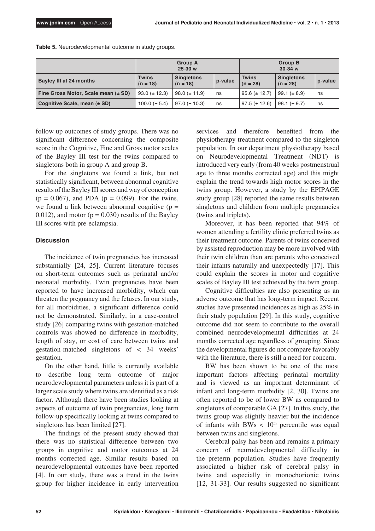|                                         | <b>Group A</b><br>$25-30 w$ |                                 |         | <b>Group B</b><br>$30-34$ w |                                 |         |
|-----------------------------------------|-----------------------------|---------------------------------|---------|-----------------------------|---------------------------------|---------|
| Bayley III at 24 months                 | <b>Twins</b><br>$(n = 18)$  | <b>Singletons</b><br>$(n = 18)$ | p-value | <b>Twins</b><br>$(n = 28)$  | <b>Singletons</b><br>$(n = 28)$ | p-value |
| Fine Gross Motor, Scale mean $(\pm SD)$ | $93.0 \ (\pm 12.3)$         | $98.0 (\pm 11.9)$               | ns      | $95.6 (\pm 12.7)$           | $99.1 (\pm 8.9)$                | ns      |
| Cognitive Scale, mean $(\pm SD)$        | 100.0 ( $\pm$ 5.4)          | $97.0~(\pm 10.3)$               | ns      | $97.5 (\pm 12.6)$           | $98.1 (\pm 9.7)$                | ns      |

**Table 5.** Neurodevelopmental outcome in study groups.

follow up outcomes of study groups. There was no significant difference concerning the composite score in the Cognitive, Fine and Gross motor scales of the Bayley III test for the twins compared to singletons both in group A and group B.

For the singletons we found a link, but not statistically significant, between abnormal cognitive results of the Bayley III scores and way of conception  $(p = 0.067)$ , and PDA  $(p = 0.099)$ . For the twins, we found a link between abnormal cognitive  $(p =$ 0.012), and motor ( $p = 0.030$ ) results of the Bayley III scores with pre-eclampsia.

## **Discussion**

The incidence of twin pregnancies has increased substantially [24, 25]. Current literature focuses on short-term outcomes such as perinatal and/or neonatal morbidity. Twin pregnancies have been reported to have increased morbidity, which can threaten the pregnancy and the fetuses. In our study, for all morbidities, a significant difference could not be demonstrated. Similarly, in a case-control study [26] comparing twins with gestation-matched controls was showed no difference in morbidity, length of stay, or cost of care between twins and gestation-matched singletons of < 34 weeks' gestation.

On the other hand, little is currently available to describe long term outcome of major neurodevelopmental parameters unless it is part of a larger scale study where twins are identified as a risk factor. Although there have been studies looking at aspects of outcome of twin pregnancies, long term follow-up specifically looking at twins compared to singletons has been limited [27].

The findings of the present study showed that there was no statistical difference between two groups in cognitive and motor outcomes at 24 months corrected age. Similar results based on neurodevelopmental outcomes have been reported [4]. In our study, there was a trend in the twins group for higher incidence in early intervention services and therefore benefited from the physiotherapy treatment compared to the singleton population. In our department physiotherapy based on Neurodevelopmental Treatment (NDT) is introduced very early (from 40 weeks postmenstrual age to three months corrected age) and this might explain the trend towards high motor scores in the twins group. However, a study by the EPIPAGE study group [28] reported the same results between singletons and children from multiple pregnancies (twins and triplets).

Moreover, it has been reported that 94% of women attending a fertility clinic preferred twins as their treatment outcome. Parents of twins conceived by assisted reproduction may be more involved with their twin children than are parents who conceived their infants naturally and unexpectedly [17]. This could explain the scores in motor and cognitive scales of Bayley III test achieved by the twin group.

Cognitive difficulties are also presenting as an adverse outcome that has long-term impact. Recent studies have presented incidences as high as 25% in their study population [29]. In this study, cognitive outcome did not seem to contribute to the overall combined neurodevelopmental difficulties at 24 months corrected age regardless of grouping. Since the developmental figures do not compare favorably with the literature, there is still a need for concern.

BW has been shown to be one of the most important factors affecting perinatal mortality and is viewed as an important determinant of infant and long-term morbidity [2, 30]. Twins are often reported to be of lower BW as compared to singletons of comparable GA [27]. In this study, the twins group was slightly heavier but the incidence of infants with BWs  $< 10<sup>th</sup>$  percentile was equal between twins and singletons.

Cerebral palsy has been and remains a primary concern of neurodevelopmental difficulty in the preterm population. Studies have frequently associated a higher risk of cerebral palsy in twins and especially in monochorionic twins [12, 31-33]. Our results suggested no significant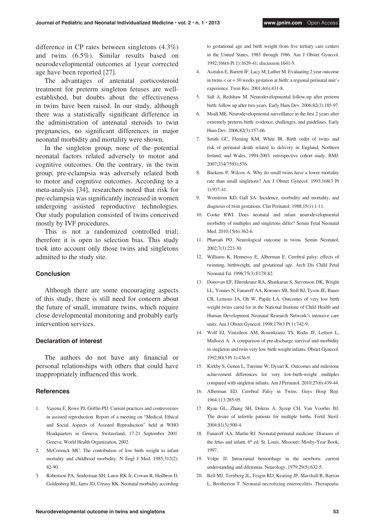difference in CP rates between singletons (4.3%) and twins (6.5%). Similar results based on neurodevelopmental outcomes at 1year corrected age have been reported [27].

The advantages of antenatal corticosteroid treatment for preterm singleton fetuses are wellestablished, but doubts about the effectiveness in twins have been raised. In our study, although there was a statistically significant difference in the administration of antenatal steroids to twin pregnancies, no significant differences in major neonatal morbidity and mortality were shown.

In the singleton group, none of the potential neonatal factors related adversely to motor and cognitive outcomes. On the contrary, in the twin group, pre-eclampsia was adversely related both to motor and cognitive outcomes. According to a meta-analysis [34], researchers noted that risk for pre-eclampsia was significantly increased in women undergoing assisted reproductive technologies. Our study population consisted of twins conceived mostly by IVF procedures.

This is not a randomized controlled trial; therefore it is open to selection bias. This study took into account only those twins and singletons admitted to the study site.

#### **Conclusion**

Although there are some encouraging aspects of this study, there is still need for concern about the future of small, immature twins, which require close developmental monitoring and probably early intervention services.

## **Declaration of interest**

The authors do not have any financial or personal relationships with others that could have inappropriately influenced this work.

## **References**

- 1. Vayena E, Rowe PJ, Griffin PD. Current practices and controversies in assisted reproduction. Report of a meeting on "Medical, Ethical and Social Aspects of Assisted Reproduction" held at WHO Headquarters in Geneva, Switzerland, 17-21 September 2001. Geneva: World Health Organization, 2002.
- 2. McCormick MC. The contribution of low birth weight to infant mortality and childhood morbidity. N Engl J Med. 1985;312(2): 82-90.
- 3. Robertson PA, Sniderman SH, Laros RK Jr, Cowan R, Heilbron D, Goldenberg RL, Iams JD, Creasy RK. Neonatal morbidity according

to gestational age and birth weight from five tertiary care centers in the United States, 1983 through 1986. Am J Obstet Gynecol. 1992;166(6 Pt 1):1629-41; discussion 1641-5.

- 4. Asztalos E, Barrett JF, Lacy M, Luther M. Evaluating 2 year outcome in twins < or = 30 weeks gestation at birth: a regional perinatal unit's experience. Twin Res. 2001;4(6):431-8.
- 5. Salt A, Redshaw M. Neurodevelopmental follow-up after preterm birth: follow up after two years. Early Hum Dev. 2006;82(3):185-97.
- 6. Msall ME. Neurodevelopmental surveillance in the first 2 years after extremely preterm birth: evidence, challenges, and guidelines. Early Hum Dev. 2006;82(3):157-66.
- 7. Smith GC, Fleming KM, White IR. Birth order of twins and risk of perinatal death related to delivery in England, Northern Ireland, and Wales, 1994-2003: retrospective cohort study. BMJ. 2007;334(7593):576.
- 8. Buekens P, Wilcox A. Why do small twins have a lower mortality rate than small singletons? Am J Obstet Gynecol. 1993;168(3 Pt 1):937-41.
- 9. Wenstrom KD, Gall SA. Incidence, morbidity and mortality, and diagnosis of twin gestations. Clin Perinatol. 1988;15(1):1-11.
- 10. Cooke RWI. Does neonatal and infant neurodevelopmental morbidity of multiples and singletons differ? Semin Fetal Neonatal Med. 2010;15(6):362-6.
- 11. Pharoah PO. Neurological outcome in twins. Semin Neonatol, 2002;7(3):223-30.
- 12. Williams K, Hennessy E, Alberman E. Cerebral palsy: effects of twinning, birthweight, and gestational age. Arch Dis Child Fetal Neonatal Ed. 1996;75(3):F178-82.
- 13. Donovan EF, Ehrenkranz RA, Shankaran S, Stevenson DK, Wright LL, Younes N, Fanaroff AA, Korones SB, Stoll BJ, Tyson JE, Bauer CR, Lemons JA, Oh W, Papile LA. Outcomes of very low birth weight twins cared for in the National Institute of Child Health and Human Development Neonatal Research Network's intensive care units. Am J Obstet Gynecol. 1998;179(3 Pt 1):742-9.
- 14. Wolf EJ, Vintzileos AM, Rosenkrantz TS, Rodis JF, Lettieri L, Mallozzi A. A comparison of pre-discharge survival and morbidity in singleton and twin very low birth weight infants. Obstet Gynecol. 1992;80(3 Pt 1):436-9.
- 15. Kirkby S, Genen L, Turenne W, Dysart K. Outcomes and milestone achievement differences for very low-birth-weight multiples compared with singleton infants. Am J Perinatol. 2010;27(6):439-44.
- 16. Alberman ED. Cerebral Palsy in Twins. Guys Hosp Rep. 1964;113:285-95.
- 17. Ryan GL, Zhang SH, Dokras A, Syrop CH, Van Voorhis BJ. The desire of infertile patients for multiple births. Fertil Steril. 2004;81(3):500-4.
- 18. Fanaroff AA, Martin RJ. Neonatal-perinatal medicine: Diseases of the fetus and infant. 6<sup>th</sup> ed. St. Louis, Missouri: Mosby-Year Book, 1997.
- 19. Volpe JJ. Intracranial hemorrhage in the newborn: current understanding and dilemmas. Neurology. 1979;29(5):632-5.
- 20. Bell MJ, Ternberg JL, Feigin RD, Keating JP, Marshall R, Barton L, Brotherton T. Neonatal necrotizing enterocolitis. Therapeutic